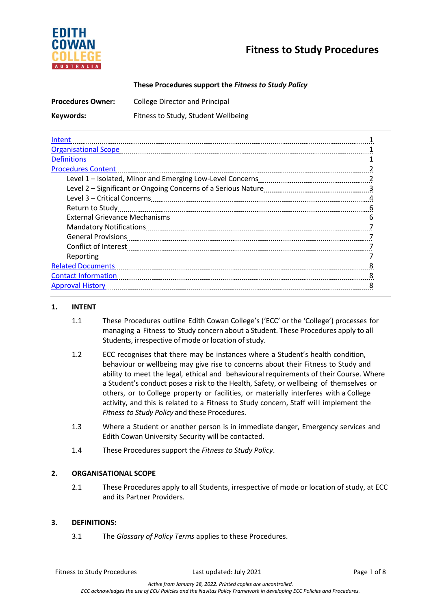



## **These Procedures support the** *Fitness to Study Policy*

| <b>Procedures Owner:</b> | <b>College Director and Principal</b> |
|--------------------------|---------------------------------------|
| Keywords:                | Fitness to Study, Student Wellbeing   |

| Intent                      |  |
|-----------------------------|--|
| <b>Organisational Scope</b> |  |
| <b>Definitions</b>          |  |
| <b>Procedures Content</b>   |  |
|                             |  |
|                             |  |
|                             |  |
| Return to Study             |  |
|                             |  |
|                             |  |
|                             |  |
|                             |  |
| Reporting                   |  |
| <b>Related Documents</b>    |  |
| <b>Contact Information</b>  |  |
| <b>Approval History</b>     |  |

### **1. INTENT**

- 1.1 These Procedures outline Edith Cowan College's ('ECC' or the 'College') processes for managing a Fitness to Study concern about a Student. These Procedures apply to all Students, irrespective of mode or location of study.
- 1.2 ECC recognises that there may be instances where a Student's health condition, behaviour or wellbeing may give rise to concerns about their Fitness to Study and ability to meet the legal, ethical and behavioural requirements of their Course. Where a Student's conduct poses a risk to the Health, Safety, or wellbeing of themselves or others, or to College property or facilities, or materially interferes with a College activity, and this is related to a Fitness to Study concern, Staff will implement the *Fitness to Study Policy* and these Procedures.
- 1.3 Where a Student or another person is in immediate danger, Emergency services and Edith Cowan University Security will be contacted.
- 1.4 These Procedures support the *Fitness to Study Policy*.

### **2. ORGANISATIONAL SCOPE**

2.1 These Procedures apply to all Students, irrespective of mode or location of study, at ECC and its Partner Providers.

### **3. DEFINITIONS:**

3.1 The *Glossary of Policy Terms* applies to these Procedures.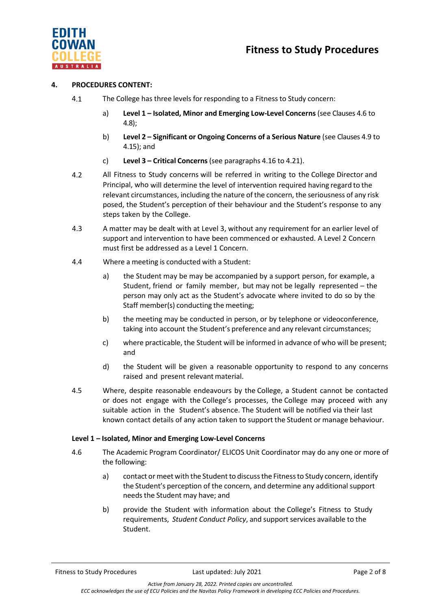



## **4. PROCEDURES CONTENT:**

- 4.1 The College has three levels for responding to a Fitness to Study concern:
	- a) **Level 1 – Isolated, Minor and Emerging Low-Level Concerns**(see Clauses 4.6 to 4.8);
	- b) **Level 2 – Significant or Ongoing Concerns of a Serious Nature** (see Clauses 4.9 to 4.[15\)](#page-3-0); and
	- c) **Level 3 – Critical Concerns**(see paragraphs 4.16 to [4.21\)](#page-4-0).
- 4.2 All Fitness to Study concerns will be referred in writing to the College Director and Principal, who will determine the level of intervention required having regard to the relevant circumstances, including the nature of the concern, the seriousness of any risk posed, the Student's perception of their behaviour and the Student's response to any steps taken by the College.
- 4.3 A matter may be dealt with at Level 3, without any requirement for an earlier level of support and intervention to have been commenced or exhausted. A Level 2 Concern must first be addressed as a Level 1 Concern.
- 4.4 Where a meeting is conducted with a Student:
	- a) the Student may be may be accompanied by a support person, for example, a Student, friend or family member, but may not be legally represented – the person may only act as the Student's advocate where invited to do so by the Staff member(s) conducting the meeting;
	- b) the meeting may be conducted in person, or by telephone or videoconference, taking into account the Student's preference and any relevant circumstances;
	- c) where practicable, the Student will be informed in advance of who will be present; and
	- d) the Student will be given a reasonable opportunity to respond to any concerns raised and present relevant material.
- 4.5 Where, despite reasonable endeavours by the College, a Student cannot be contacted or does not engage with the College's processes, the College may proceed with any suitable action in the Student's absence. The Student will be notified via their last known contact details of any action taken to support the Student or manage behaviour.

## **Level 1 – Isolated, Minor and Emerging Low-Level Concerns**

- 4.6 The Academic Program Coordinator/ ELICOS Unit Coordinator may do any one or more of the following:
	- a) contact or meet with the Student to discuss the Fitness to Study concern, identify the Student's perception of the concern, and determine any additional support needs the Student may have; and
	- b) provide the Student with information about the College's Fitness to Study requirements, *Student Conduct Policy*, and support services available to the Student.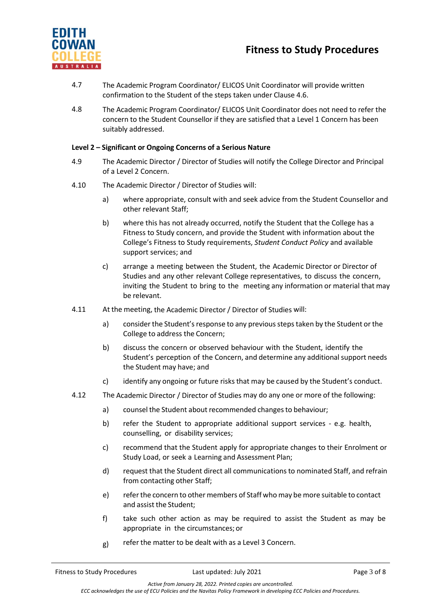

- 4.7 The Academic Program Coordinator/ ELICOS Unit Coordinator will provide written confirmation to the Student of the steps taken under Clause 4.6.
- 4.8 The Academic Program Coordinator/ ELICOS Unit Coordinator does not need to refer the concern to the Student Counsellor if they are satisfied that a Level 1 Concern has been suitably addressed.

## **Level 2 – Significant or Ongoing Concerns of a Serious Nature**

- 4.9 The Academic Director / Director of Studies will notify the College Director and Principal of a Level 2 Concern.
- 4.10 The Academic Director / Director of Studies will:
	- a) where appropriate, consult with and seek advice from the Student Counsellor and other relevant Staff;
	- b) where this has not already occurred, notify the Student that the College has a Fitness to Study concern, and provide the Student with information about the College's Fitness to Study requirements, *Student Conduct Policy* and available support services; and
	- c) arrange a meeting between the Student, the Academic Director or Director of Studies and any other relevant College representatives, to discuss the concern, inviting the Student to bring to the meeting any information or material that may be relevant.
- 4.11 At the meeting, the Academic Director / Director of Studies will:
	- a) consider the Student's response to any previous steps taken by the Student or the College to address the Concern;
	- b) discuss the concern or observed behaviour with the Student, identify the Student's perception of the Concern, and determine any additionalsupport needs the Student may have; and
	- c) identify any ongoing or future risks that may be caused by the Student's conduct.
- 4.12 The Academic Director / Director of Studies may do any one or more of the following:
	- a) counsel the Student about recommended changes to behaviour;
	- b) refer the Student to appropriate additional support services e.g. health, counselling, or disability services;
	- c) recommend that the Student apply for appropriate changes to their Enrolment or Study Load, or seek a Learning and Assessment Plan;
	- d) request that the Student direct all communicationsto nominated Staff, and refrain from contacting other Staff;
	- e) referthe concern to other members of Staff who may be more suitable to contact and assist the Student;
	- f) take such other action as may be required to assist the Student as may be appropriate in the circumstances; or
	- g) refer the matter to be dealt with as a Level 3 Concern.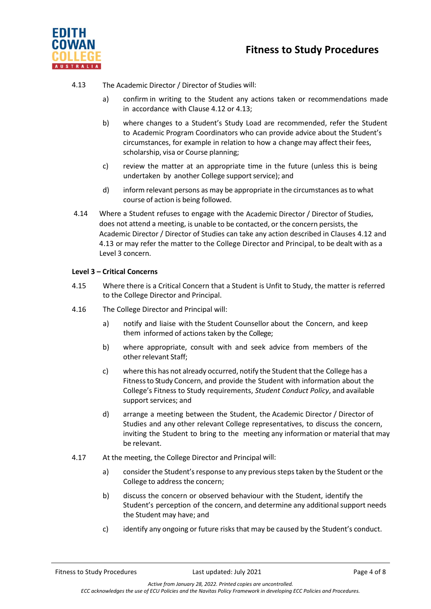



## 4.13 The Academic Director / Director of Studies will:

- a) confirm in writing to the Student any actions taken or recommendations made in accordance with Clause 4.12 or 4.13;
- b) where changes to a Student's Study Load are recommended, refer the Student to Academic Program Coordinators who can provide advice about the Student's circumstances, for example in relation to how a change may affect their fees, scholarship, visa or Course planning;
- c) review the matter at an appropriate time in the future (unless this is being undertaken by another College support service); and
- d) inform relevant persons as may be appropriate in the circumstances asto what course of action is being followed.
- <span id="page-3-0"></span>4.14 Where a Student refuses to engage with the Academic Director / Director of Studies, does not attend a meeting, is unable to be contacted, or the concern persists, the Academic Director / Director of Studies can take any action described in Clauses 4.12 and 4.13 or may refer the matter to the College Director and Principal, to be dealt with as a Level 3 concern.

## **Level 3 – Critical Concerns**

- 4.15 Where there is a Critical Concern that a Student is Unfit to Study, the matter is referred to the College Director and Principal.
- 4.16 The College Director and Principal will:
	- a) notify and liaise with the Student Counsellor about the Concern, and keep them informed of actions taken by the College;
	- b) where appropriate, consult with and seek advice from members of the other relevant Staff;
	- c) where this has not already occurred, notify the Student that the College has a Fitnessto Study Concern, and provide the Student with information about the College's Fitness to Study requirements, *Student Conduct Policy*, and available support services; and
	- d) arrange a meeting between the Student, the Academic Director / Director of Studies and any other relevant College representatives, to discuss the concern, inviting the Student to bring to the meeting any information or material that may be relevant.
- 4.17 At the meeting, the College Director and Principal will:
	- a) consider the Student's response to any previous steps taken by the Student or the College to address the concern;
	- b) discuss the concern or observed behaviour with the Student, identify the Student's perception of the concern, and determine any additional support needs the Student may have; and
	- c) identify any ongoing or future risks that may be caused by the Student's conduct.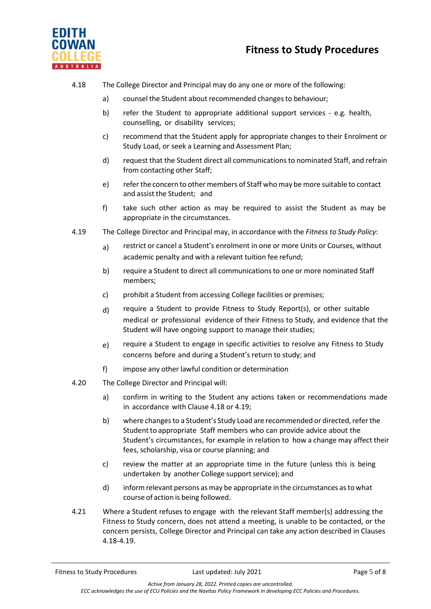



## 4.18 The College Director and Principal may do any one or more of the following:

- a) counsel the Student about recommended changes to behaviour;
- b) refer the Student to appropriate additional support services e.g. health, counselling, or disability services;
- c) recommend that the Student apply for appropriate changes to their Enrolment or Study Load, or seek a Learning and Assessment Plan;
- d) request that the Student direct all communicationsto nominated Staff, and refrain from contacting other Staff;
- e) referthe concern to other members of Staff who may be more suitable to contact and assist the Student; and
- f) take such other action as may be required to assist the Student as may be appropriate in the circumstances.
- 4.19 The College Director and Principal may, in accordance with the *Fitness to Study Policy*:
	- a) restrict or cancel a Student's enrolment in one or more Units or Courses, without academic penalty and with a relevant tuition fee refund;
	- b) require a Student to direct all communications to one or more nominated Staff members;
	- c) prohibit a Student from accessing College facilities or premises;
	- d) require a Student to provide Fitness to Study Report(s), or other suitable medical or professional evidence of their Fitness to Study, and evidence that the Student will have ongoing support to manage their studies;
	- $e$ ) require a Student to engage in specific activities to resolve any Fitness to Study concerns before and during a Student's return to study; and
	- f) impose any other lawful condition or determination
- 4.20 The College Director and Principal will:
	- a) confirm in writing to the Student any actions taken or recommendations made in accordance with Clause 4.18 or 4.19;
	- b) where changes to a Student's Study Load are recommended or directed, refer the Student to appropriate Staff members who can provide advice about the Student's circumstances, for example in relation to how a change may affect their fees, scholarship, visa or course planning; and
	- c) review the matter at an appropriate time in the future (unless this is being undertaken by another College support service); and
	- d) informrelevant persons as may be appropriate in the circumstances asto what course of action is being followed.
- <span id="page-4-0"></span>4.21 Where a Student refuses to engage with the relevant Staff member(s) addressing the Fitness to Study concern, does not attend a meeting, is unable to be contacted, or the concern persists, College Director and Principal can take any action described in Clauses 4.18-4.19.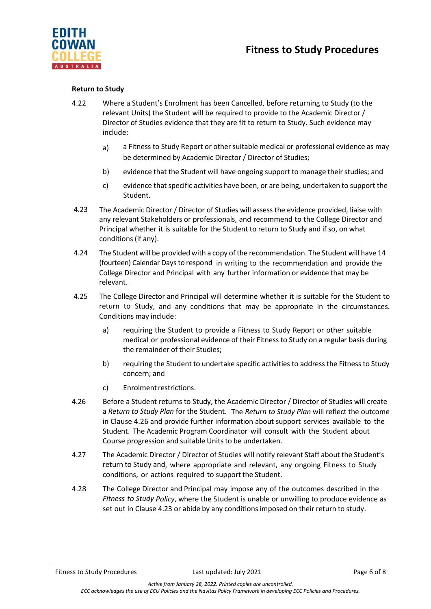

## **Return to Study**

- 4.22 Where a Student's Enrolment has been Cancelled, before returning to Study (to the relevant Units) the Student will be required to provide to the Academic Director / Director of Studies evidence that they are fit to return to Study. Such evidence may include:
	- a) a Fitness to Study Report or other suitable medical or professional evidence as may be determined by Academic Director / Director of Studies;
	- b) evidence that the Student will have ongoing support to manage their studies; and
	- c) evidence that specific activities have been, or are being, undertaken to support the Student.
- 4.23 The Academic Director / Director of Studies will assess the evidence provided, liaise with any relevant Stakeholders or professionals, and recommend to the College Director and Principal whether it is suitable for the Student to return to Study and if so, on what conditions (if any).
- 4.24 The Student will be provided with a copy of the recommendation. The Student will have 14 (fourteen) Calendar Daysto respond in writing to the recommendation and provide the College Director and Principal with any further information or evidence that may be relevant.
- 4.25 The College Director and Principal will determine whether it is suitable for the Student to return to Study, and any conditions that may be appropriate in the circumstances. Conditions may include:
	- a) requiring the Student to provide a Fitness to Study Report or other suitable medical or professional evidence of their Fitness to Study on a regular basis during the remainder of their Studies;
	- b) requiring the Student to undertake specific activities to address the Fitness to Study concern; and
	- c) Enrolment restrictions.
- 4.26 Before a Student returns to Study, the Academic Director / Director of Studies will create a *Return to Study Plan* for the Student. The *Return to Study Plan* will reflect the outcome in Clause 4.26 and provide further information about support services available to the Student. The Academic Program Coordinator will consult with the Student about Course progression and suitable Units to be undertaken.
- 4.27 The Academic Director / Director of Studies will notify relevant Staff about the Student's return to Study and, where appropriate and relevant, any ongoing Fitness to Study conditions, or actions required to support the Student.
- 4.28 The College Director and Principal may impose any of the outcomes described in the *Fitness to Study Policy*, where the Student is unable or unwilling to produce evidence as set out in Clause 4.23 or abide by any conditions imposed on their return to study.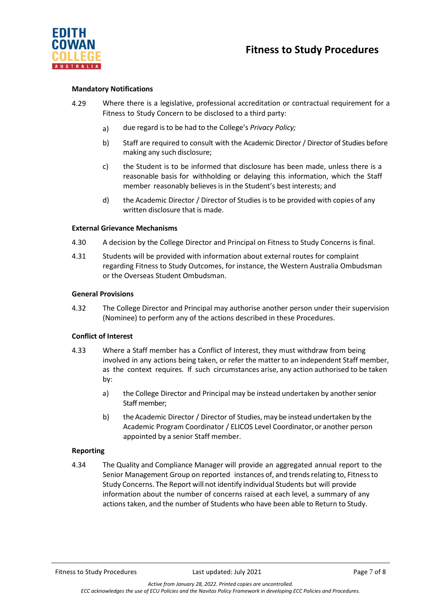

# **Fitness to Study Procedures**

## **Mandatory Notifications**

- 4.29 Where there is a legislative, professional accreditation or contractual requirement for a Fitness to Study Concern to be disclosed to a third party:
	- a) due regard is to be had to the College's *Privacy Policy;*
	- b) Staff are required to consult with the Academic Director / Director of Studies before making any such disclosure;
	- c) the Student is to be informed that disclosure has been made, unless there is a reasonable basis for withholding or delaying this information, which the Staff member reasonably believes is in the Student's best interests; and
	- d) the Academic Director / Director of Studies is to be provided with copies of any written disclosure that is made.

#### **External Grievance Mechanisms**

- 4.30 A decision by the College Director and Principal on Fitness to Study Concerns is final.
- 4.31 Students will be provided with information about external routes for complaint regarding Fitness to Study Outcomes, for instance, the Western Australia Ombudsman or the Overseas Student Ombudsman.

#### **General Provisions**

4.32 The College Director and Principal may authorise another person under their supervision (Nominee) to perform any of the actions described in these Procedures.

### **Conflict of Interest**

- 4.33 Where a Staff member has a Conflict of Interest, they must withdraw from being involved in any actions being taken, or refer the matter to an independent Staff member, as the context requires. If such circumstances arise, any action authorised to be taken by:
	- a) the College Director and Principal may be instead undertaken by another senior Staff member;
	- b) the Academic Director / Director of Studies, may be instead undertaken by the Academic Program Coordinator / ELICOS Level Coordinator, or another person appointed by a senior Staff member.

### **Reporting**

4.34 The Quality and Compliance Manager will provide an aggregated annual report to the Senior Management Group on reported instances of, and trendsrelating to, Fitnessto Study Concerns. The Report will not identify individual Students but will provide information about the number of concerns raised at each level, a summary of any actions taken, and the number of Students who have been able to Return to Study.